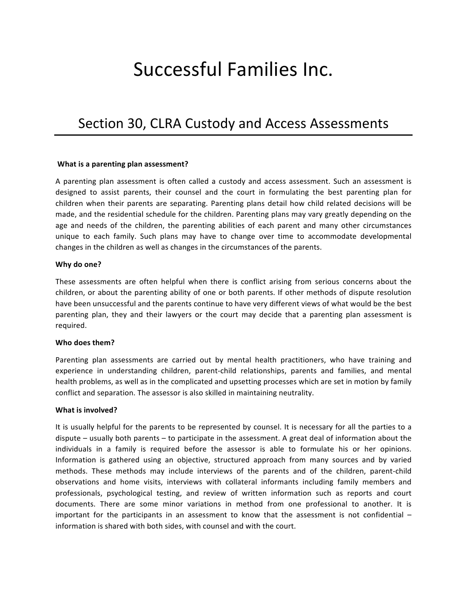# Successful Families Inc.

# Section 30, CLRA Custody and Access Assessments

#### **What is a parenting plan assessment?**

A parenting plan assessment is often called a custody and access assessment. Such an assessment is designed to assist parents, their counsel and the court in formulating the best parenting plan for children when their parents are separating. Parenting plans detail how child related decisions will be made, and the residential schedule for the children. Parenting plans may vary greatly depending on the age and needs of the children, the parenting abilities of each parent and many other circumstances unique to each family. Such plans may have to change over time to accommodate developmental changes in the children as well as changes in the circumstances of the parents.

#### Why do one?

These assessments are often helpful when there is conflict arising from serious concerns about the children, or about the parenting ability of one or both parents. If other methods of dispute resolution have been unsuccessful and the parents continue to have very different views of what would be the best parenting plan, they and their lawyers or the court may decide that a parenting plan assessment is required.

#### **Who does them?**

Parenting plan assessments are carried out by mental health practitioners, who have training and experience in understanding children, parent-child relationships, parents and families, and mental health problems, as well as in the complicated and upsetting processes which are set in motion by family conflict and separation. The assessor is also skilled in maintaining neutrality.

#### **What is involved?**

It is usually helpful for the parents to be represented by counsel. It is necessary for all the parties to a dispute – usually both parents – to participate in the assessment. A great deal of information about the individuals in a family is required before the assessor is able to formulate his or her opinions. Information is gathered using an objective, structured approach from many sources and by varied methods. These methods may include interviews of the parents and of the children, parent-child observations and home visits, interviews with collateral informants including family members and professionals, psychological testing, and review of written information such as reports and court documents. There are some minor variations in method from one professional to another. It is important for the participants in an assessment to know that the assessment is not confidential  $$ information is shared with both sides, with counsel and with the court.